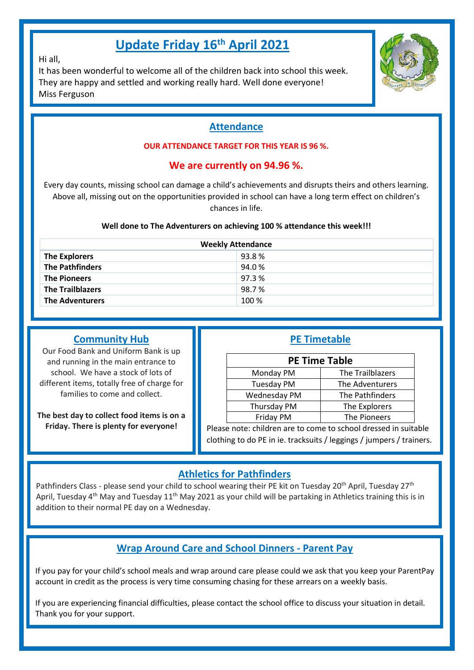# **Update Friday 16 th April 2021**

Hi all,

It has been wonderful to welcome all of the children back into school this week. They are happy and settled and working really hard. Well done everyone! Miss Ferguson



## **Attendance**

#### **OUR ATTENDANCE TARGET FOR THIS YEAR IS 96 %.**

#### **We are currently on 94.96 %.**

Every day counts, missing school can damage a child's achievements and disrupts theirs and others learning. Above all, missing out on the opportunities provided in school can have a long term effect on children's chances in life.

#### **Well done to The Adventurers on achieving 100 % attendance this week!!!**

| <b>Weekly Attendance</b> |        |  |  |
|--------------------------|--------|--|--|
| <b>The Explorers</b>     | 93.8%  |  |  |
| <b>The Pathfinders</b>   | 94.0%  |  |  |
| <b>The Pioneers</b>      | 97.3 % |  |  |
| <b>The Trailblazers</b>  | 98.7%  |  |  |
| <b>The Adventurers</b>   | 100 %  |  |  |

#### **Community Hub**

Our Food Bank and Uniform Bank is up and running in the main entrance to school. We have a stock of lots of different items, totally free of charge for families to come and collect.

**The best day to collect food items is on a Friday. There is plenty for everyone!**

| E Timetabl |  |  |
|------------|--|--|
|            |  |  |

| <b>PE Time Table</b> |                  |  |
|----------------------|------------------|--|
| Monday PM            | The Trailblazers |  |
| <b>Tuesday PM</b>    | The Adventurers  |  |
| Wednesday PM         | The Pathfinders  |  |
| Thursday PM          | The Explorers    |  |
| Friday PM            | The Pioneers     |  |

Please note: children are to come to school dressed in suitable clothing to do PE in ie. tracksuits / leggings / jumpers / trainers.

## **Athletics for Pathfinders**

Pathfinders Class - please send your child to school wearing their PE kit on Tuesday 20<sup>th</sup> April, Tuesday 27<sup>th</sup> April, Tuesday 4<sup>th</sup> May and Tuesday 11<sup>th</sup> May 2021 as your child will be partaking in Athletics training this is in addition to their normal PE day on a Wednesday.

## **Wrap Around Care and School Dinners - Parent Pay**

If you pay for your child's school meals and wrap around care please could we ask that you keep your ParentPay account in credit as the process is very time consuming chasing for these arrears on a weekly basis.

If you are experiencing financial difficulties, please contact the school office to discuss your situation in detail. Thank you for your support.